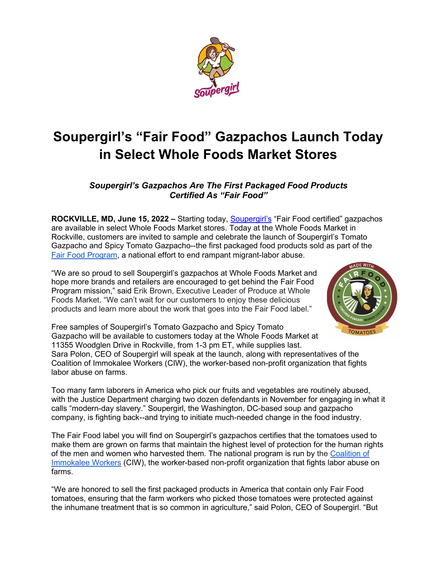

## **Soupergirl's "Fair Food" Gazpachos Launch Today in Select Whole Foods Market Stores**

## *Soupergirl's Gazpachos Are The First Packaged Food Products Certified As "Fair Food"*

**ROCKVILLE, MD, June 15, 2022 –** Starting today, [Soupergirl's](https://thesoupergirl.com/) "Fair Food certified" gazpachos are available in select Whole Foods Market stores. Today at the Whole Foods Market in Rockville, customers are invited to sample and celebrate the launch of Soupergirl's Tomato Gazpacho and Spicy Tomato Gazpacho--the first packaged food products sold as part of the [Fair Food Program,](https://fairfoodprogram.org/about/) a national effort to end rampant migrant-labor abuse.

"We are so proud to sell Soupergirl's gazpachos at Whole Foods Market and hope more brands and retailers are encouraged to get behind the Fair Food Program mission," said Erik Brown, Executive Leader of Produce at Whole Foods Market. "We can't wait for our customers to enjoy these delicious products and learn more about the work that goes into the Fair Food label."

labor abuse on farms.



Free samples of Soupergirl's Tomato Gazpacho and Spicy Tomato Gazpacho will be available to customers today at the Whole Foods Market at 11355 Woodglen Drive in Rockville, from 1-3 pm ET, while supplies last. Sara Polon, CEO of Soupergirl will speak at the launch, along with representatives of the Coalition of Immokalee Workers (CIW), the worker-based non-profit organization that fights

Too many farm laborers in America who pick our fruits and vegetables are routinely abused, with the Justice Department charging two dozen defendants in November for engaging in what it calls "modern-day slavery." Soupergirl, the Washington, DC-based soup and gazpacho company, is fighting back--and trying to initiate much-needed change in the food industry.

The Fair Food label you will find on Soupergirl's gazpachos certifies that the tomatoes used to make them are grown on farms that maintain the highest level of protection for the human rights of the men and women who harvested them. The national program is run by the [Coalition of](https://ciw-online.org/about/)  [Immokalee Workers](https://ciw-online.org/about/) (CIW), the worker-based non-profit organization that fights labor abuse on farms.

"We are honored to sell the first packaged products in America that contain only Fair Food tomatoes, ensuring that the farm workers who picked those tomatoes were protected against the inhumane treatment that is so common in agriculture," said Polon, CEO of Soupergirl. "But